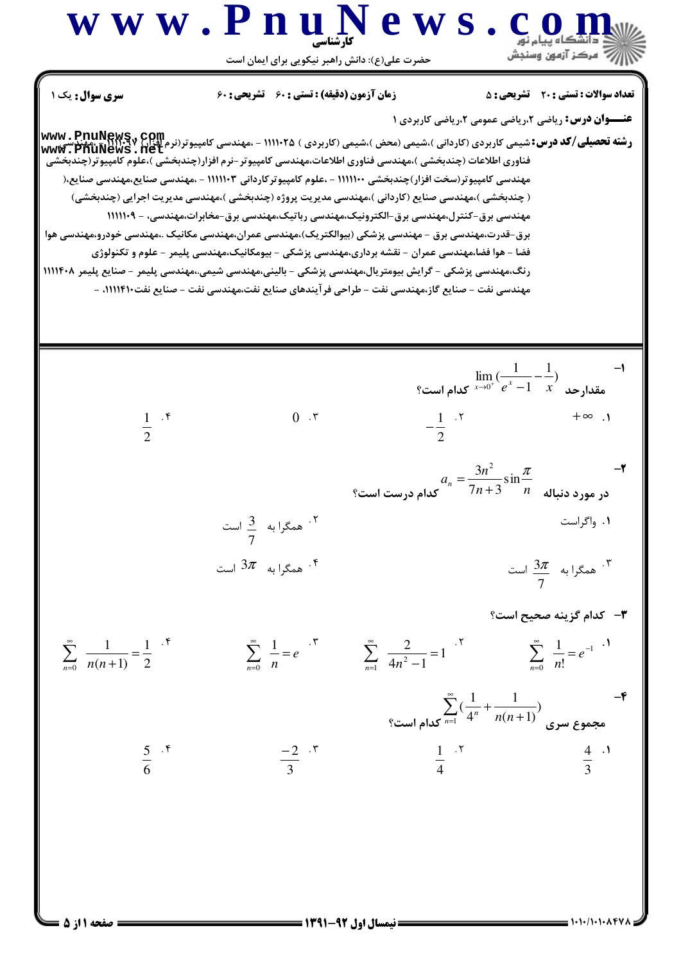## www.PnuNews.com ريسي جو سنڊس<br>سنڊس سنڊس وسنڊس حضرت علی(ع): دانش راهبر نیکویی برای ایمان است **تعداد سوالات : تستي : 20 - تشريحي : 5** سری سوال: یک ۱ **زمان آزمون (دقیقه) : تستی : 60 تشریحی : 60 عنــوان درس:** ریاضی ۲،ریاضی عمومی ۲،ریاضی کاربردی ۱ **رشته تحصیلی/کد درس:**شیمی کاربردی (کاردانی )،شیمی (محض )،شیمی (کاربردی ) ۱۱۱۱۰۲۵ - ،مهندسی کامپیوتر(نرم اقزار) **www . PnuNews**<br>'میمندسی ک**امی که بازی (کارن** ) بازی (میرسی) میرسی (محض )،شیمی (کاربردی ) ۱۱۱۰۲۵ - ،مهندسی کام شیمی تاربردی ( تاردانی )،شیمی (محص )،شیمی ( تاربردی ) ۱۱۱۱۰۲۵ - ،مهندسی تامپیوتر(برم افزار) ۱۱۱۰۲۷۰ - ،مهندسی<br>۷۰ www - PnuNews . Het<br>فناوری اطلاعات (چندبخشی )،مهندسی فناوری اطلاعات،مهندسی کامپیوتر -نرم افزار(چندبخشی )،علو مهندسی کامپیوتر(سخت افزار)چندبخشی ۱۱۱۱۱۰۰ - ،علوم کامپیوترکاردانی ۱۱۱۱۱۰۳ - ،مهندسی صنایع،مهندسی صنایع،( ( چندبخشی )،مهندسی صنایع (کاردانی )،مهندسی مدیریت پروژه (چندبخشی )،مهندسی مدیریت اجرایی (چندبخشی) مهندسی برق-کنترل،مهندسی برق-الکترونیک،مهندسی رباتیک،مهندسی برق-مخابرات،مهندسی، - ۱۱۱۱۱۰۹ برق-قدرت،مھندسی برق – مھندسی پزشکی (بیوالکتریک)،مھندسی عمران،مھندسی مکانیک .،مھندسی خودرو،مھندسی ھوا فضا – هوا فضا،مهندسی عمران – نقشه برداری،مهندسی پزشکی – بیومکانیک،مهندسی پلیمر – علوم و تکنولوژی رنگ،مهندسی پزشکی - گرایش بیومتریال،مهندسی پزشکی - بالینی،مهندسی شیمی.،مهندسی پلیمر - صنایع پلیمر ۱۱۱۴۰۸ مهندسی نفت – صنایع گاز،مهندسی نفت – طراحی فرآیندهای صنایع نفت،مهندسی نفت – صنایع نفت+۱۱۱۴۱۰ –  $\lim_{x\to 0^+}(\frac{1}{e^x-1}-\frac{1}{x})$ مقدارحد  $\frac{1}{x}$  کدام است؟  $\rightarrow$  $-\frac{1}{2}$  .  $\frac{5}{2}$  $\frac{1}{2}$  .\*  $0 \cdot$   $\tau$  $\mathsf{I} \cdot \infty$

 $a_n = \frac{3n^2}{7n+3} \sin \frac{\pi}{n}$  در مورد دنباله  $\frac{\pi}{n}$  کدام درست است؟  $-\zeta$ 

$$
\frac{3}{7}
$$
 ممگرا به  $\frac{3}{7}$  است  
۴. همگرا به  $3\pi$ 

همگرا به  $\frac{3\pi}{7}$  است.

۰۱ واگراست

$$
\sum_{n=0}^{\infty} \frac{1}{n(n+1)} = \frac{1}{2}^{r}
$$
\n
$$
\sum_{n=0}^{\infty} \frac{1}{n} = e^{r}
$$
\n
$$
\sum_{n=1}^{\infty} \frac{2}{4n^2 - 1} = 1^{r}
$$
\n
$$
\sum_{n=0}^{\infty} \frac{1}{n!} = e^{-1^{r}}
$$

$$
\sum_{n=1}^{\infty} \left(\frac{1}{4^n} + \frac{1}{n(n+1)}\right)
$$
\nExample 5.  $^{\circ}$ 

\n
$$
\frac{-2}{3} \cdot^{\circ}
$$
\n
$$
\frac{-2}{3} \cdot^{\circ}
$$
\n
$$
\frac{1}{4} \cdot^{\circ}
$$
\n
$$
\frac{1}{4} \cdot^{\circ}
$$
\n
$$
\frac{4}{3} \cdot^{\circ}
$$
\n
$$
\frac{4}{3} \cdot^{\circ}
$$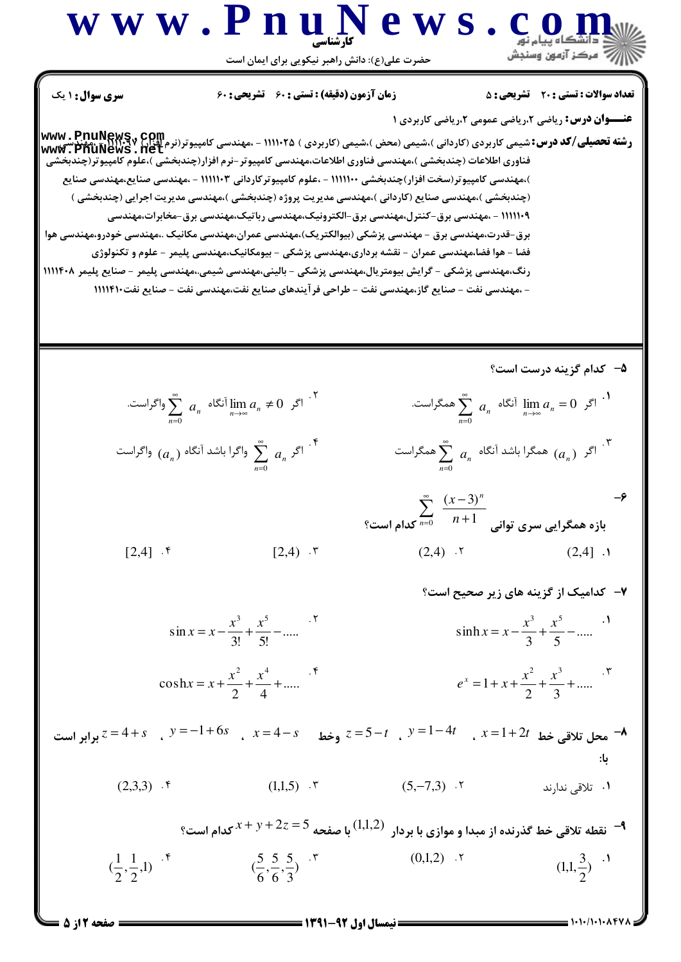## www.PnuNews.com

حضرت علی(ع): دانش راهبر نیکویی برای ایمان است

**تعداد سوالات : تستي : 20 - تشريحي : 5** 

**زمان آزمون (دقیقه) : تستی : 60 گشریحی : 60** 

**سری سوال :** ۱ یک

**عنـــوان درس:** ریاضی ۲،ریاضی عمومی ۲،ریاضی کاربردی ۱

**رشته تحصیلی/کد درس:**شیمی کاربردی (کاردانی )،شیمی (محض )،شیمی (کاربردی ) ۱۱۱۱۰۲۵ - ،مهندسی کامپیوتر(نرم اقزار) **www . PnuNews**<br>'میمندسی ک**امی که بازی (کارن** ) بازی (میرسی) میرسی (محض )،شیمی (کاربردی ) ۱۱۱۰۲۵ - ،مهندسی کام شیمی تاربردی ( تاردانی )،شیمی (محص )،شیمی ( تاربردی ) ۱۱۱۱۰۲۵ - ،مهندسی تامپیوتر(برم افزار) ۱۱۱۰۲۷۰ - ،مهندسی<br>۷۰ www - PnuNews . Het<br>فناوری اطلاعات (چندبخشی )،مهندسی فناوری اطلاعات،مهندسی کامپیوتر -نرم افزار(چندبخشی )،علو )،مهندسی کامپیوتر(سخت افزار)چندبخشی ۱۱۱۱۱۰۰ - ،علوم کامپیوترکاردانی ۱۱۱۱۱۰۳ - ،مهندسی صنایع،مهندسی صنایع (چندبخشي )،مهندسي صنايع (كارداني )،مهندسي مديريت پروژه (چندبخشي )،مهندسي مديريت اجرايي (چندبخشي ) ۱۱۱۱۱۰۹ - ،مهندسی برق-کنترل،مهندسی برق-الکترونیک،مهندسی رباتیک،مهندسی برق-مخابرات،مهندسی برق-قدرت،مهندسی برق - مهندسی پزشکی (بیوالکتریک)،مهندسی عمران،مهندسی مکانیک .،مهندسی خودرو،مهندسی هوا فضا – هوا فضا،مهندسی عمران – نقشه برداری،مهندسی پزشکی – بیومکانیک،مهندسی پلیمر – علوم و تکنولوژی رنگ،مھندسی پزشکی – گرایش بیومتریال،مھندسی پزشکی – بالینی،مھندسی شیمی.،مھندسی پلیمر – صنایع پلیمر ۱۱۱۴۰۸ - ،مهندسی نفت – صنایع گاز،مهندسی نفت – طراحی فر آیندهای صنایع نفت،مهندسی نفت – صنایع نفت١١١١٤١٠

۵- کدام گزینه درست است؟

$$
\sum_{n=0}^{\infty} a_n \log \left| \lim_{n \to \infty} a_n \neq 0 \right| \text{ for } n \neq 0 \text{ and } n = 0 \text{ and } n = 0 \text{ for } n = 0 \text{ and } n = 0 \text{ for } n = 0 \text{ and } n = 0 \text{ for } n = 0 \text{ and } n = 0 \text{ for } n = 0 \text{ and } n = 0 \text{ for } n = 0 \text{ and } n = 0 \text{ for } n = 0 \text{ and } n = 0 \text{ for } n = 0 \text{ and } n = 0 \text{ for } n = 0 \text{ for } n = 0 \text{ for } n = 0 \text{ for } n = 0 \text{ for } n = 0 \text{ for } n = 0 \text{ for } n = 0 \text{ for } n = 0 \text{ for } n = 0 \text{ for } n = 0 \text{ for } n = 0 \text{ for } n = 0 \text{ for } n = 0 \text{ for } n = 0 \text{ for } n = 0 \text{ for } n = 0 \text{ for } n = 0 \text{ for } n = 0 \text{ for } n = 0 \text{ for } n = 0 \text{ for } n = 0 \text{ for } n = 0 \text{ for } n = 0 \text{ for } n = 0 \text{ for } n = 0 \text{ for } n = 0 \text{ for } n = 0 \text{ for } n = 0 \text{ for } n = 0 \text{ for } n = 0 \text{ for } n = 0 \text{ for } n = 0 \text{ for } n = 0 \text{ for } n = 0 \text{ for } n = 0 \text{ for } n = 0 \text{ for } n = 0 \text{ for } n = 0 \text{ for } n = 0 \text{ for } n = 0 \text{ for } n = 0 \text{ for } n = 0 \text{ for } n = 0 \text{ for } n = 0 \text{ for } n = 0 \text{ for } n = 0 \text{ for } n = 0 \text{ for } n = 0 \text{ for } n = 0 \text{ for } n = 0 \text{ for } n = 0 \text{ for } n = 0 \text{ for } n = 0 \text{ for } n = 0 \text{ for } n = 0 \text{ for } n = 0 \text{ for } n = 0 \text{ for } n = 0 \text{ for } n = 0 \text{ for } n = 0 \text{ for } n = 0 \text{ for } n = 0 \text{ for } n =
$$

$$
\sum_{n=0}^{\infty} \frac{(x-3)^n}{n+1}
$$
بازه همگرایی سری توانی 
$$
\sum_{n=0}^{\infty} \frac{(x-3)^n}{n+1}
$$
 (2.4)

$$
[2,4] \cdot \mathfrak{f} \qquad [2,4) \cdot \mathfrak{r}
$$

$$
\sin x = x - \frac{x^3}{3!} + \frac{x^5}{5!} - \dots
$$
  

$$
\sinh x = x - \frac{x^3}{3} + \frac{x^5}{5} - \dots
$$

$$
\cosh x = x + \frac{x^2}{2} + \frac{x^4}{4} + \dots
$$
  

$$
e^x = 1 + x + \frac{x^2}{2} + \frac{x^3}{3} + \dots
$$

$$
y = -1 + 6s, \quad x = 4 - s
$$
 وخط  $z = 5 - t, \quad y = 1 - 4t, \quad x = 1 + 2t$  محل تلاقي خط  $x = 1 + 2t$ 

$$
(2,3,3) \quad \text{``} \qquad (1,1,5) \quad \text{``} \qquad (5,-7,3) \quad \text{``} \qquad \text{``} \qquad \text{``} \qquad \text{``} \qquad \text{``} \qquad \text{``} \qquad \text{``} \qquad \text{``} \qquad \text{``} \qquad \text{``} \qquad \text{``} \qquad \text{``} \qquad \text{``} \qquad \text{``} \qquad \text{``} \qquad \text{``} \qquad \text{``} \qquad \text{``} \qquad \text{``} \qquad \text{``} \qquad \text{``} \qquad \text{``} \qquad \text{``} \qquad \text{``} \qquad \text{``} \qquad \text{``} \qquad \text{``} \qquad \text{``} \qquad \text{``} \qquad \text{``} \qquad \text{``} \qquad \text{``} \qquad \text{``} \qquad \text{``} \qquad \text{``} \qquad \text{``} \qquad \text{``} \qquad \text{``} \qquad \text{``} \qquad \text{``} \qquad \text{``} \qquad \text{``} \qquad \text{``} \qquad \text{``} \qquad \text{``} \qquad \text{``} \qquad \text{``} \qquad \text{``} \qquad \text{``} \qquad \text{``} \qquad \text{``} \qquad \text{``} \qquad \text{``} \qquad \text{``} \qquad \text{``} \qquad \text{``} \qquad \text{``} \qquad \text{``} \qquad \text{``} \qquad \text{``} \qquad \text{``} \qquad \text{``} \qquad \text{``} \qquad \text{``} \qquad \text{``} \qquad \text{``} \qquad \text{``} \qquad \text{``} \qquad \text{``} \qquad \text{``} \qquad \text{``} \qquad \text{``} \qquad \text{``} \qquad \text{``} \qquad \text{``} \qquad \text{``} \qquad \text{``} \qquad \text{``} \qquad \text{``} \qquad \text{``} \qquad \text{``} \qquad \text{``} \qquad \text{``} \qquad \text{``} \qquad \text{``} \qquad \text{``} \qquad \text{``} \qquad \text{``} \qquad \text{``} \qquad \text{``
$$

تقطه تلاقی خط گذرنده از مبدا و موازی با بردار  $(1,1,2)$  با صفحه  $2z = 2$   $x + y + z$ کدام است؟  $\blacktriangleleft$  $(\frac{1}{2}, \frac{1}{2}, 1)$  f  $(0,1,2)$  .  $\mathbf{r}$  $\left(\frac{5}{6}, \frac{5}{6}, \frac{5}{3}\right)$  . "  $(1,1,\frac{3}{2})$  .<sup>1</sup>

 $\cdot$ 

صفحه 2 از 5 =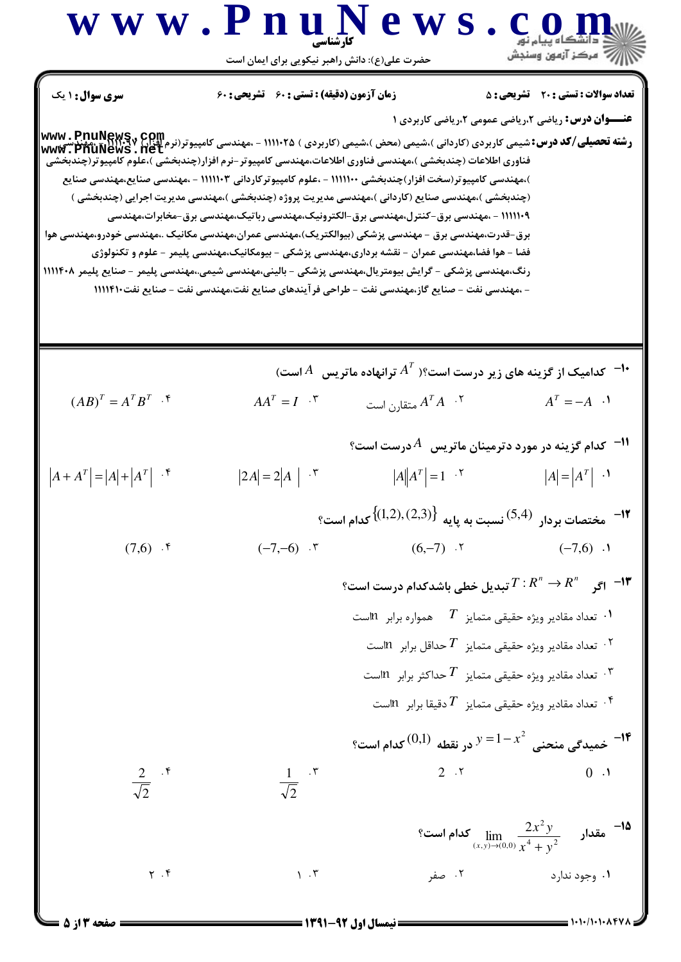

**000 من 1000 - 11/1000 صفحه 3 از 5 صد محمد الله على العامل اول 137-1391 صفحه تا از 5 و 3 از 5 و 2 از 5 و 3 از 5**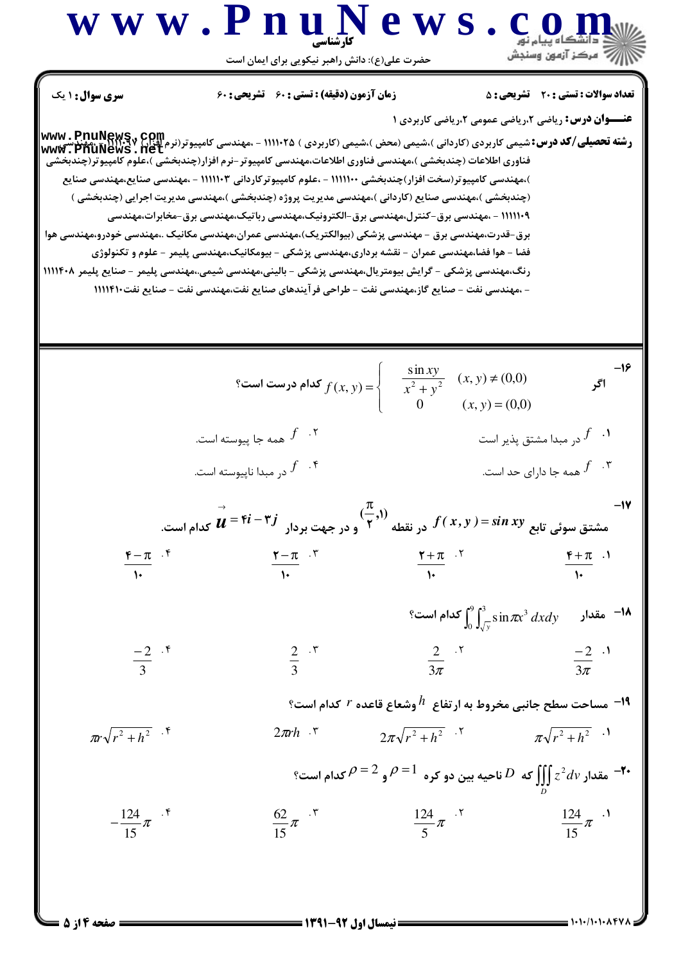**W W W . P. B . C. O. O. M.   
\n**W** W . P. D. U. 
$$
\frac{1}{2} \int_{\frac{\pi}{2} \pi} \frac{1}{1} \int_{\frac{\pi}{2} \pi} \frac{1}{1} \int_{\frac{\pi}{2} \pi} \frac{1}{1} \int_{\frac{\pi}{2} \pi} \frac{1}{1} \int_{\frac{\pi}{2} \pi} \frac{1}{1} \int_{\frac{\pi}{2} \pi} \frac{1}{1} \int_{\frac{\pi}{2} \pi} \frac{1}{1} \int_{\frac{\pi}{2} \pi} \frac{1}{1} \int_{\frac{\pi}{2} \pi} \frac{1}{1} \int_{\frac{\pi}{2} \pi} \frac{1}{1} \int_{\frac{\pi}{2} \pi} \frac{1}{1} \int_{\frac{\pi}{2} \pi} \frac{1}{1} \int_{\frac{\pi}{2} \pi} \frac{1}{1} \int_{\frac{\pi}{2} \pi} \frac{1}{1} \int_{\frac{\pi}{2} \pi} \frac{1}{1} \int_{\frac{\pi}{2} \pi} \frac{1}{1} \int_{\frac{\pi}{2} \pi} \frac{1}{1} \int_{\frac{\pi}{2} \pi} \frac{1}{1} \int_{\frac{\pi}{2} \pi} \frac{1}{1} \int_{\frac{\pi}{2} \pi} \frac{1}{1} \int_{\frac{\pi}{2} \pi} \frac{1}{1} \int_{\frac{\pi}{2} \pi} \frac{1}{1} \int_{\frac{\pi}{2} \pi} \frac{1}{1} \int_{\frac{\pi}{2} \pi} \frac{1}{1} \int_{\frac{\pi}{2} \pi} \frac{1}{1} \int_{\frac{\pi}{2} \pi} \frac{1}{1} \int_{\frac{\pi}{2} \pi} \frac{1}{1} \int_{\frac{\pi}{2} \pi} \frac{1}{1} \int_{\frac{\pi}{2} \pi} \frac{1}{1} \int_{\frac{\pi}{2} \pi} \frac{1}{1} \int_{\frac{\pi}{2} \pi} \frac{1}{1} \int_{\frac{\pi}{2} \pi} \frac{1}{1} \int_{\frac{\pi}{2} \pi} \frac{1}{1} \int_{\frac{\pi}{2} \pi} \frac{1}{1} \int_{\frac{\pi}{2} \pi} \frac{1}{1} \int_{\frac{\pi}{2} \pi} \frac{1}{1}
$$**

**= صفحه 4 از 5** ا

 $1.1.1.1.1.1$